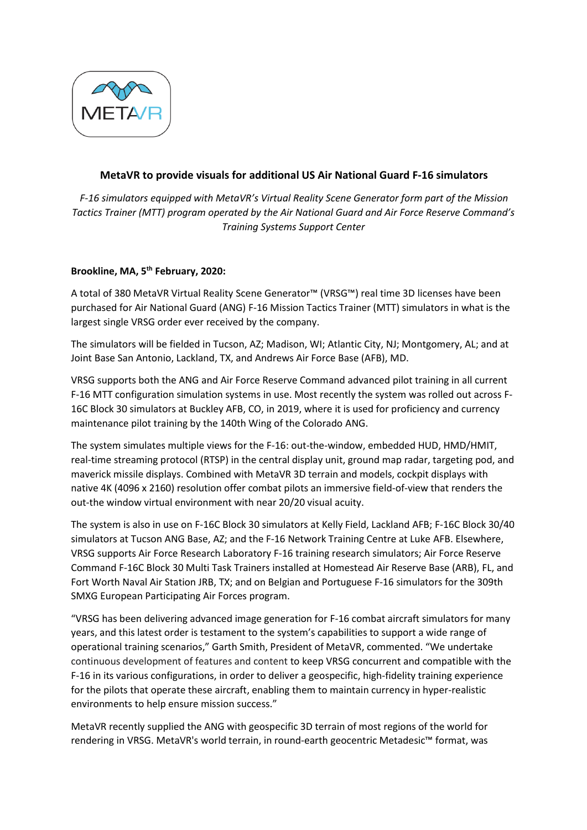

## **MetaVR to provide visuals for additional US Air National Guard F-16 simulators**

*F-16 simulators equipped with MetaVR's Virtual Reality Scene Generator form part of the Mission Tactics Trainer (MTT) program operated by the Air National Guard and Air Force Reserve Command's Training Systems Support Center*

## **Brookline, MA, 5 th February, 2020:**

A total of 380 MetaVR Virtual Reality Scene Generator™ (VRSG™) real time 3D licenses have been purchased for Air National Guard (ANG) F-16 Mission Tactics Trainer (MTT) simulators in what is the largest single VRSG order ever received by the company.

The simulators will be fielded in Tucson, AZ; Madison, WI; Atlantic City, NJ; Montgomery, AL; and at Joint Base San Antonio, Lackland, TX, and Andrews Air Force Base (AFB), MD.

VRSG supports both the ANG and Air Force Reserve Command advanced pilot training in all current F-16 MTT configuration simulation systems in use. Most recently the system was rolled out across F-16C Block 30 simulators at Buckley AFB, CO, in 2019, where it is used for proficiency and currency maintenance pilot training by the 140th Wing of the Colorado ANG.

The system simulates multiple views for the F-16: out-the-window, embedded HUD, HMD/HMIT, real-time streaming protocol (RTSP) in the central display unit, ground map radar, targeting pod, and maverick missile displays. Combined with MetaVR 3D terrain and models, cockpit displays with native 4K (4096 x 2160) resolution offer combat pilots an immersive field-of-view that renders the out-the window virtual environment with near 20/20 visual acuity.

The system is also in use on F-16C Block 30 simulators at Kelly Field, Lackland AFB; F-16C Block 30/40 simulators at Tucson ANG Base, AZ; and the F-16 Network Training Centre at Luke AFB. Elsewhere, VRSG supports Air Force Research Laboratory F-16 training research simulators; Air Force Reserve Command F-16C Block 30 Multi Task Trainers installed at Homestead Air Reserve Base (ARB), FL, and Fort Worth Naval Air Station JRB, TX; and on Belgian and Portuguese F-16 simulators for the 309th SMXG European Participating Air Forces program.

"VRSG has been delivering advanced image generation for F-16 combat aircraft simulators for many years, and this latest order is testament to the system's capabilities to support a wide range of operational training scenarios," Garth Smith, President of MetaVR, commented. "We undertake continuous development of features and content to keep VRSG concurrent and compatible with the F-16 in its various configurations, in order to deliver a geospecific, high-fidelity training experience for the pilots that operate these aircraft, enabling them to maintain currency in hyper-realistic environments to help ensure mission success."

MetaVR recently supplied the ANG with geospecific 3D terrain of most regions of the world for rendering in VRSG. MetaVR's world terrain, in round-earth geocentric Metadesic™ format, was